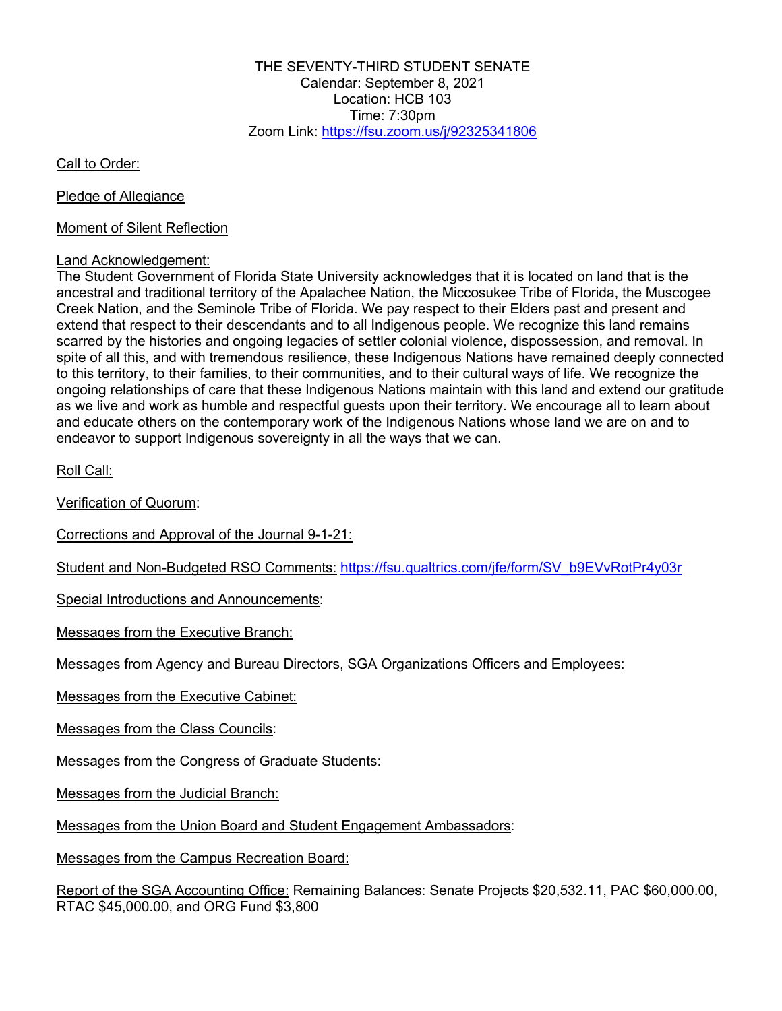THE SEVENTY-THIRD STUDENT SENATE Calendar: September 8, 2021 Location: HCB 103 Time:  $7:30$ pm Zoom Link: https://fsu.zoom.us/j/92325341806

Call to Order:

Pledge of Allegiance

Moment of Silent Reflection

## Land Acknowledgement:

The Student Government of Florida State University acknowledges that it is located on land that is the ancestral and traditional territory of the Apalachee Nation, the Miccosukee Tribe of Florida, the Muscogee Creek Nation, and the Seminole Tribe of Florida. We pay respect to their Elders past and present and extend that respect to their descendants and to all Indigenous people. We recognize this land remains scarred by the histories and ongoing legacies of settler colonial violence, dispossession, and removal. In spite of all this, and with tremendous resilience, these Indigenous Nations have remained deeply connected to this territory, to their families, to their communities, and to their cultural ways of life. We recognize the ongoing relationships of care that these Indigenous Nations maintain with this land and extend our gratitude as we live and work as humble and respectful guests upon their territory. We encourage all to learn about and educate others on the contemporary work of the Indigenous Nations whose land we are on and to endeavor to support Indigenous sovereignty in all the ways that we can.

Roll Call:

Verification of Quorum:

Corrections and Approval of the Journal 9-1-21:

Student and Non-Budgeted RSO Comments: https://fsu.qualtrics.com/jfe/form/SV\_b9EVvRotPr4y03r

Special Introductions and Announcements:

Messages from the Executive Branch:

Messages from Agency and Bureau Directors, SGA Organizations Officers and Employees:

Messages from the Executive Cabinet:

Messages from the Class Councils:

Messages from the Congress of Graduate Students:

Messages from the Judicial Branch:

Messages from the Union Board and Student Engagement Ambassadors:

Messages from the Campus Recreation Board:

Report of the SGA Accounting Office: Remaining Balances: Senate Projects \$20,532.11, PAC \$60,000.00, RTAC \$45,000.00, and ORG Fund \$3,800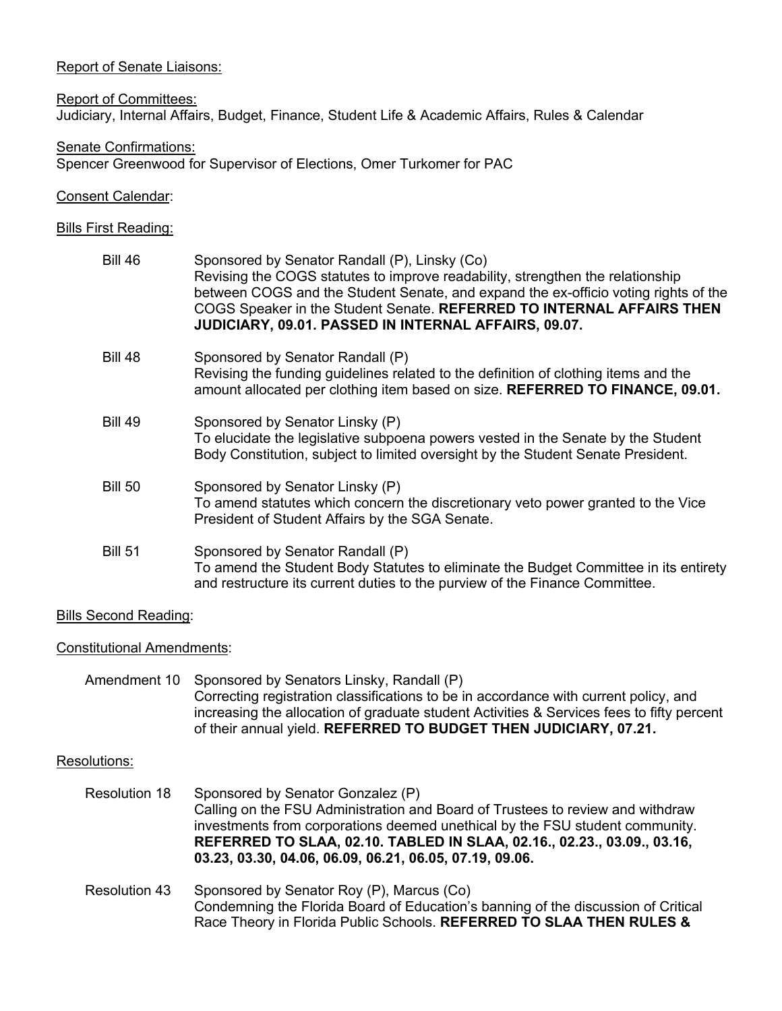### Report of Senate Liaisons:

Report of Committees: Judiciary, Internal Affairs, Budget, Finance, Student Life & Academic Affairs, Rules & Calendar

Senate Confirmations: Spencer Greenwood for Supervisor of Elections, Omer Turkomer for PAC

### Consent Calendar:

### Bills First Reading:

| <b>Bill 46</b> | Sponsored by Senator Randall (P), Linsky (Co)<br>Revising the COGS statutes to improve readability, strengthen the relationship<br>between COGS and the Student Senate, and expand the ex-officio voting rights of the<br>COGS Speaker in the Student Senate. REFERRED TO INTERNAL AFFAIRS THEN<br>JUDICIARY, 09.01. PASSED IN INTERNAL AFFAIRS, 09.07. |
|----------------|---------------------------------------------------------------------------------------------------------------------------------------------------------------------------------------------------------------------------------------------------------------------------------------------------------------------------------------------------------|
| <b>Bill 48</b> | Sponsored by Senator Randall (P)<br>Revising the funding guidelines related to the definition of clothing items and the<br>amount allocated per clothing item based on size. REFERRED TO FINANCE, 09.01.                                                                                                                                                |
| <b>Bill 49</b> | Sponsored by Senator Linsky (P)<br>To elucidate the legislative subpoena powers vested in the Senate by the Student<br>Body Constitution, subject to limited oversight by the Student Senate President.                                                                                                                                                 |
| <b>Bill 50</b> | Sponsored by Senator Linsky (P)<br>To amend statutes which concern the discretionary veto power granted to the Vice<br>President of Student Affairs by the SGA Senate.                                                                                                                                                                                  |
| <b>Bill 51</b> | Sponsored by Senator Randall (P)<br>To amend the Student Body Statutes to eliminate the Budget Committee in its entirety<br>and restructure its current duties to the purview of the Finance Committee.                                                                                                                                                 |

# Bills Second Reading:

### Constitutional Amendments:

|  | Amendment 10 Sponsored by Senators Linsky, Randall (P)                                    |
|--|-------------------------------------------------------------------------------------------|
|  | Correcting registration classifications to be in accordance with current policy, and      |
|  | increasing the allocation of graduate student Activities & Services fees to fifty percent |
|  | of their annual yield. REFERRED TO BUDGET THEN JUDICIARY, 07.21.                          |

# Resolutions:

- Resolution 18 Sponsored by Senator Gonzalez (P) Calling on the FSU Administration and Board of Trustees to review and withdraw investments from corporations deemed unethical by the FSU student community. **REFERRED TO SLAA, 02.10. TABLED IN SLAA, 02.16., 02.23., 03.09., 03.16, 03.23, 03.30, 04.06, 06.09, 06.21, 06.05, 07.19, 09.06.**
- Resolution 43 Sponsored by Senator Roy (P), Marcus (Co) Condemning the Florida Board of Education's banning of the discussion of Critical Race Theory in Florida Public Schools. **REFERRED TO SLAA THEN RULES &**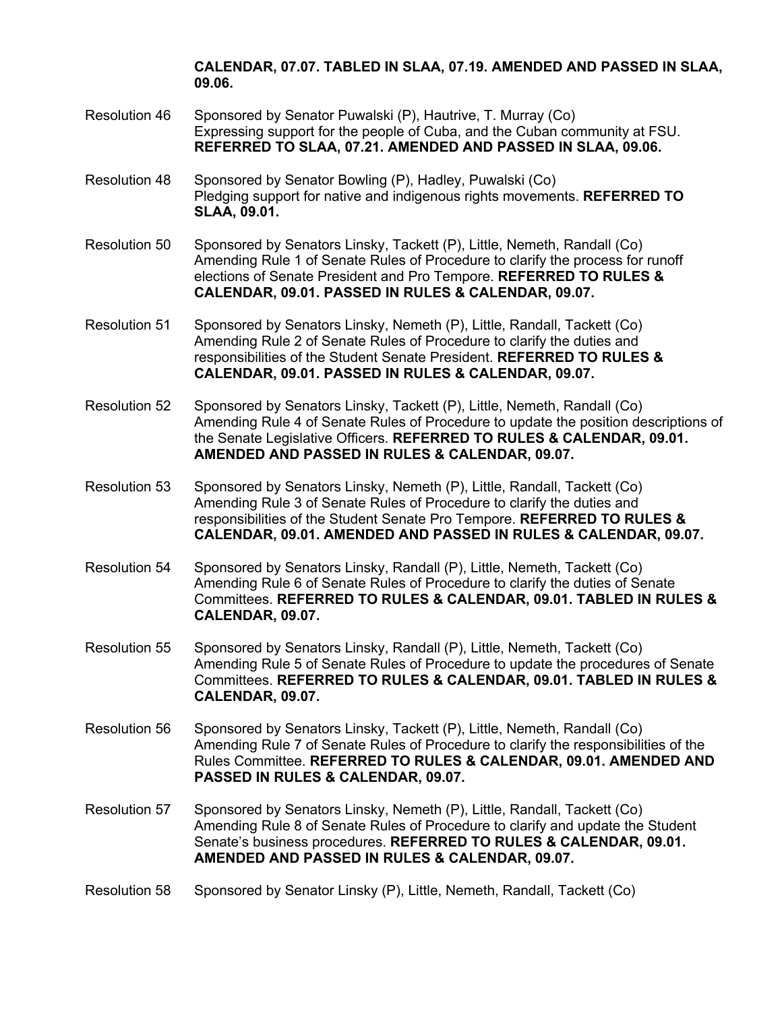### **CALENDAR, 07.07. TABLED IN SLAA, 07.19. AMENDED AND PASSED IN SLAA, 09.06.**

- Resolution 46 Sponsored by Senator Puwalski (P), Hautrive, T. Murray (Co) Expressing support for the people of Cuba, and the Cuban community at FSU. **REFERRED TO SLAA, 07.21. AMENDED AND PASSED IN SLAA, 09.06.**
- Resolution 48 Sponsored by Senator Bowling (P), Hadley, Puwalski (Co) Pledging support for native and indigenous rights movements. **REFERRED TO SLAA, 09.01.**
- Resolution 50 Sponsored by Senators Linsky, Tackett (P), Little, Nemeth, Randall (Co) Amending Rule 1 of Senate Rules of Procedure to clarify the process for runoff elections of Senate President and Pro Tempore. **REFERRED TO RULES & CALENDAR, 09.01. PASSED IN RULES & CALENDAR, 09.07.**
- Resolution 51 Sponsored by Senators Linsky, Nemeth (P), Little, Randall, Tackett (Co) Amending Rule 2 of Senate Rules of Procedure to clarify the duties and responsibilities of the Student Senate President. **REFERRED TO RULES & CALENDAR, 09.01. PASSED IN RULES & CALENDAR, 09.07.**
- Resolution 52 Sponsored by Senators Linsky, Tackett (P), Little, Nemeth, Randall (Co) Amending Rule 4 of Senate Rules of Procedure to update the position descriptions of the Senate Legislative Officers. **REFERRED TO RULES & CALENDAR, 09.01. AMENDED AND PASSED IN RULES & CALENDAR, 09.07.**
- Resolution 53 Sponsored by Senators Linsky, Nemeth (P), Little, Randall, Tackett (Co) Amending Rule 3 of Senate Rules of Procedure to clarify the duties and responsibilities of the Student Senate Pro Tempore. **REFERRED TO RULES & CALENDAR, 09.01. AMENDED AND PASSED IN RULES & CALENDAR, 09.07.**
- Resolution 54 Sponsored by Senators Linsky, Randall (P), Little, Nemeth, Tackett (Co) Amending Rule 6 of Senate Rules of Procedure to clarify the duties of Senate Committees. **REFERRED TO RULES & CALENDAR, 09.01. TABLED IN RULES & CALENDAR, 09.07.**
- Resolution 55 Sponsored by Senators Linsky, Randall (P), Little, Nemeth, Tackett (Co) Amending Rule 5 of Senate Rules of Procedure to update the procedures of Senate Committees. **REFERRED TO RULES & CALENDAR, 09.01. TABLED IN RULES & CALENDAR, 09.07.**
- Resolution 56 Sponsored by Senators Linsky, Tackett (P), Little, Nemeth, Randall (Co) Amending Rule 7 of Senate Rules of Procedure to clarify the responsibilities of the Rules Committee. **REFERRED TO RULES & CALENDAR, 09.01. AMENDED AND PASSED IN RULES & CALENDAR, 09.07.**
- Resolution 57 Sponsored by Senators Linsky, Nemeth (P), Little, Randall, Tackett (Co) Amending Rule 8 of Senate Rules of Procedure to clarify and update the Student Senate's business procedures. **REFERRED TO RULES & CALENDAR, 09.01. AMENDED AND PASSED IN RULES & CALENDAR, 09.07.**
- Resolution 58 Sponsored by Senator Linsky (P), Little, Nemeth, Randall, Tackett (Co)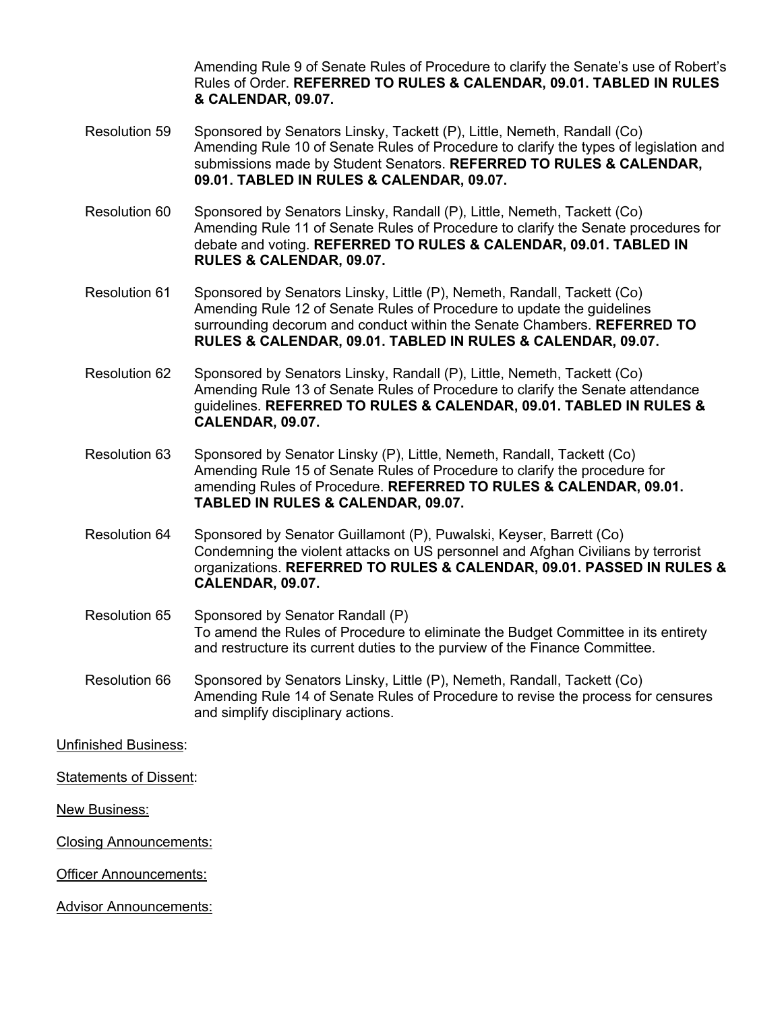Amending Rule 9 of Senate Rules of Procedure to clarify the Senate's use of Robert's Rules of Order. **REFERRED TO RULES & CALENDAR, 09.01. TABLED IN RULES & CALENDAR, 09.07.**

- Resolution 59 Sponsored by Senators Linsky, Tackett (P), Little, Nemeth, Randall (Co) Amending Rule 10 of Senate Rules of Procedure to clarify the types of legislation and submissions made by Student Senators. **REFERRED TO RULES & CALENDAR, 09.01. TABLED IN RULES & CALENDAR, 09.07.**
- Resolution 60 Sponsored by Senators Linsky, Randall (P), Little, Nemeth, Tackett (Co) Amending Rule 11 of Senate Rules of Procedure to clarify the Senate procedures for debate and voting. **REFERRED TO RULES & CALENDAR, 09.01. TABLED IN RULES & CALENDAR, 09.07.**
- Resolution 61 Sponsored by Senators Linsky, Little (P), Nemeth, Randall, Tackett (Co) Amending Rule 12 of Senate Rules of Procedure to update the guidelines surrounding decorum and conduct within the Senate Chambers. **REFERRED TO RULES & CALENDAR, 09.01. TABLED IN RULES & CALENDAR, 09.07.**
- Resolution 62 Sponsored by Senators Linsky, Randall (P), Little, Nemeth, Tackett (Co) Amending Rule 13 of Senate Rules of Procedure to clarify the Senate attendance guidelines. **REFERRED TO RULES & CALENDAR, 09.01. TABLED IN RULES & CALENDAR, 09.07.**
- Resolution 63 Sponsored by Senator Linsky (P), Little, Nemeth, Randall, Tackett (Co) Amending Rule 15 of Senate Rules of Procedure to clarify the procedure for amending Rules of Procedure. **REFERRED TO RULES & CALENDAR, 09.01. TABLED IN RULES & CALENDAR, 09.07.**
- Resolution 64 Sponsored by Senator Guillamont (P), Puwalski, Keyser, Barrett (Co) Condemning the violent attacks on US personnel and Afghan Civilians by terrorist organizations. **REFERRED TO RULES & CALENDAR, 09.01. PASSED IN RULES & CALENDAR, 09.07.**
- Resolution 65 Sponsored by Senator Randall (P) To amend the Rules of Procedure to eliminate the Budget Committee in its entirety and restructure its current duties to the purview of the Finance Committee.
- Resolution 66 Sponsored by Senators Linsky, Little (P), Nemeth, Randall, Tackett (Co) Amending Rule 14 of Senate Rules of Procedure to revise the process for censures and simplify disciplinary actions.

Unfinished Business:

Statements of Dissent:

New Business:

Closing Announcements:

Officer Announcements:

Advisor Announcements: